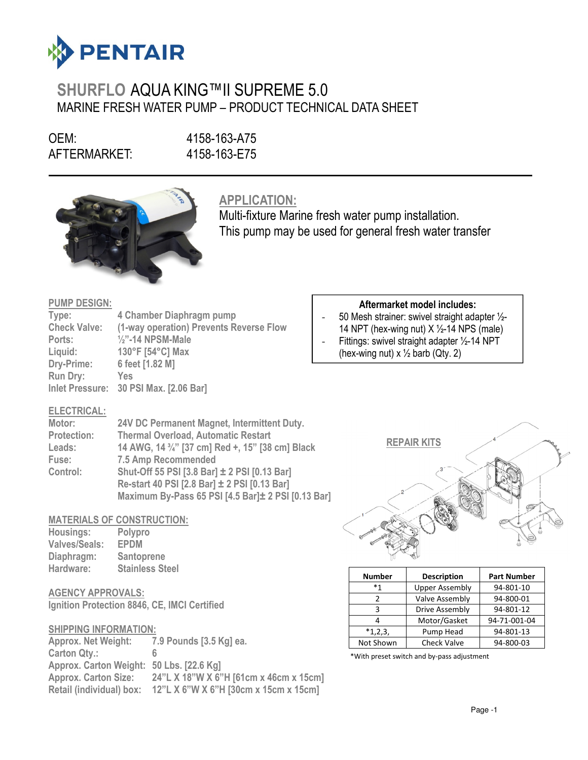

# SHURFLO AQUA KING™II SUPREME 5.0 MARINE FRESH WATER PUMP – PRODUCT TECHNICAL DATA SHEET

OEM: 4158-163-A75 AFTERMARKET: 4158-163-E75

 $\overline{a}$ 



APPLICATION:

Multi-fixture Marine fresh water pump installation. This pump may be used for general fresh water transfer

# PUMP DESIGN:

| Type:               | 4 Chamber Diaphragm pump                |
|---------------------|-----------------------------------------|
| <b>Check Valve:</b> | (1-way operation) Prevents Reverse Flow |
| Ports:              | $\frac{1}{2}$ "-14 NPSM-Male            |
| Liquid:             | 130°F [54°C] Max                        |
| Dry-Prime:          | 6 feet [1.82 M]                         |
| <b>Run Dry:</b>     | Yes                                     |
|                     | Inlet Pressure: 30 PSI Max. [2.06 Bar]  |

# Aftermarket model includes:

- 50 Mesh strainer: swivel straight adapter ½- 14 NPT (hex-wing nut)  $X \frac{1}{2}$ -14 NPS (male)
- Fittings: swivel straight adapter 1/2-14 NPT
- (hex-wing nut)  $x \frac{1}{2}$  barb (Qty. 2)

# ELECTRICAL:

| Motor:             | 24V DC Permanent Magnet, Intermittent Duty.                               |
|--------------------|---------------------------------------------------------------------------|
| <b>Protection:</b> | <b>Thermal Overload, Automatic Restart</b>                                |
| Leads:             | 14 AWG, 14 <sup>3</sup> / <sub>4</sub> " [37 cm] Red +, 15" [38 cm] Black |
| Fuse:              | 7.5 Amp Recommended                                                       |
| Control:           | Shut-Off 55 PSI [3.8 Bar] ± 2 PSI [0.13 Bar]                              |
|                    | Re-start 40 PSI [2.8 Bar] ± 2 PSI [0.13 Bar]                              |
|                    | Maximum By-Pass 65 PSI [4.5 Bar]± 2 PSI [0.13 Bar]                        |

# MATERIALS OF CONSTRUCTION:

| Housings:            | Polypro                |
|----------------------|------------------------|
| <b>Valves/Seals:</b> | <b>EPDM</b>            |
| Diaphragm:           | Santoprene             |
| Hardware:            | <b>Stainless Steel</b> |

# AGENCY APPROVALS:

Ignition Protection 8846, CE, IMCI Certified

### SHIPPING INFORMATION:

Approx. Net Weight: 7.9 Pounds [3.5 Kg] ea. Carton Qty.: Approx. Carton Weight: 50 Lbs. [22.6 Kg] Approx. Carton Size: 24"L X 18"W X 6"H [61cm x 46cm x 15cm] Retail (individual) box: 12"L X 6"W X 6"H [30cm x 15cm x 15cm]



| <b>Number</b> | <b>Description</b>    | <b>Part Number</b> |
|---------------|-----------------------|--------------------|
| $*_{1}$       | <b>Upper Assembly</b> | 94-801-10          |
|               | Valve Assembly        | 94-800-01          |
| ς             | Drive Assembly        | 94-801-12          |
|               | Motor/Gasket          | 94-71-001-04       |
| $*1,2,3,$     | Pump Head             | 94-801-13          |
| Not Shown     | <b>Check Valve</b>    | 94-800-03          |

\*With preset switch and by-pass adjustment